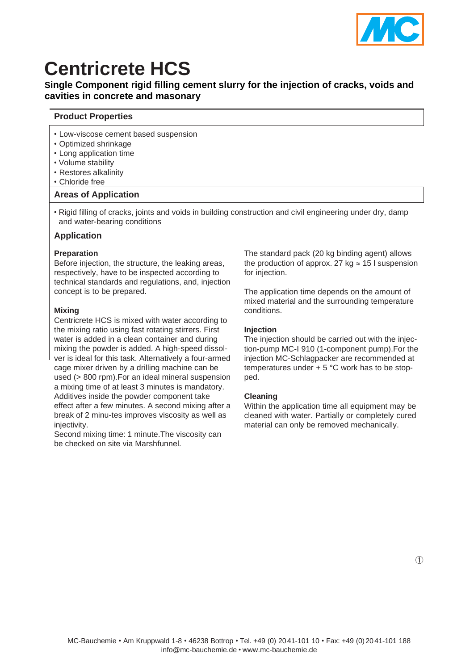

# **Centricrete HCS**

# **Single Component rigid filling cement slurry for the injection of cracks, voids and cavities in concrete and masonary**

# **Product Properties**

- Low-viscose cement based suspension
- Optimized shrinkage
- Long application time
- Volume stability
- Restores alkalinity
- Chloride free

# **Areas of Application**

• Rigid filling of cracks, joints and voids in building construction and civil engineering under dry, damp and water-bearing conditions

# **Application**

#### **Preparation**

Before injection, the structure, the leaking areas, respectively, have to be inspected according to technical standards and regulations, and, injection concept is to be prepared.

# **Mixing**

Centricrete HCS is mixed with water according to the mixing ratio using fast rotating stirrers. First water is added in a clean container and during mixing the powder is added. A high-speed dissolver is ideal for this task. Alternatively a four-armed cage mixer driven by a drilling machine can be used (> 800 rpm).For an ideal mineral suspension a mixing time of at least 3 minutes is mandatory. Additives inside the powder component take effect after a few minutes. A second mixing after a break of 2 minu-tes improves viscosity as well as injectivity.

Second mixing time: 1 minute.The viscosity can be checked on site via Marshfunnel.

The standard pack (20 kg binding agent) allows the production of approx. 27 kg  $\approx$  15 l suspension for injection.

The application time depends on the amount of mixed material and the surrounding temperature conditions.

# **Injection**

The injection should be carried out with the injection-pump MC-I 910 (1-component pump).For the injection MC-Schlagpacker are recommended at temperatures under + 5 °C work has to be stopped.

# **Cleaning**

Within the application time all equipment may be cleaned with water. Partially or completely cured material can only be removed mechanically.